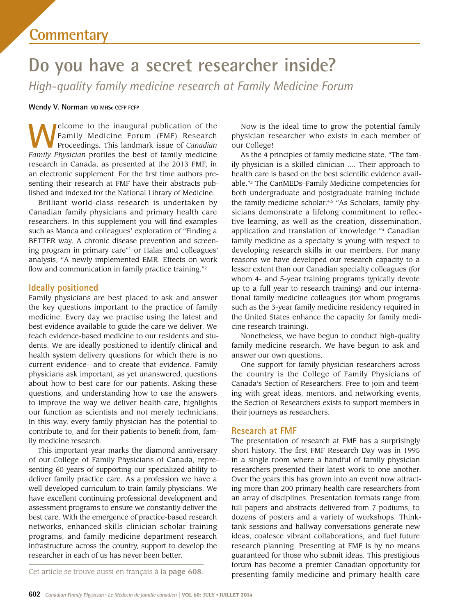# **Do you have a secret researcher inside?**

*High-quality family medicine research at Family Medicine Forum* 

## Wendy V. Norman MD MHSc CCFP FCFP

 Proceedings. This landmark issue of *Canadian*  senting their research at FMF have their abstracts pub-**Welcome to the inaugural publication of the Family Medicine Forum (FMF) Research Proceedings. This landmark issue of** *Canadian* **Family Physician profiles the best of family medicine.** Family Medicine Forum (FMF) Research *Family Physician* profiles the best of family medicine research in Canada, as presented at the 2013 FMF, in an electronic supplement. For the frst time authors prelished and indexed for the National Library of Medicine.

 researchers. In this supplement you will fnd examples Brilliant world-class research is undertaken by Canadian family physicians and primary health care such as Manca and colleagues' exploration of "Finding a BETTER way. A chronic disease prevention and screening program in primary care"1 or Halas and colleagues' analysis, "A newly implemented EMR. Effects on work flow and communication in family practice training."<sup>2</sup>

# **Ideally positioned**

 questions, and understanding how to use the answers Family physicians are best placed to ask and answer the key questions important to the practice of family medicine. Every day we practise using the latest and best evidence available to guide the care we deliver. We teach evidence-based medicine to our residents and students. We are ideally positioned to identify clinical and health system delivery questions for which there is no current evidence—and to create that evidence. Family physicians ask important, as yet unanswered, questions about how to best care for our patients. Asking these to improve the way we deliver health care, highlights our function as scientists and not merely technicians. In this way, every family physician has the potential to contribute to, and for their patients to beneft from, family medicine research.

This important year marks the diamond anniversary of our College of Family Physicians of Canada, representing 60 years of supporting our specialized ability to deliver family practice care. As a profession we have a well developed curriculum to train family physicians. We have excellent continuing professional development and assessment programs to ensure we constantly deliver the best care. With the emergence of practice-based research networks, enhanced-skills clinician scholar training programs, and family medicine department research infrastructure across the country, support to develop the researcher in each of us has never been better.

Now is the ideal time to grow the potential family physician researcher who exists in each member of our College!

 up to a full year to research training) and our interna-As the 4 principles of family medicine state, "The family physician is a skilled clinician .... Their approach to health care is based on the best scientifc evidence available."3 The CanMEDs–Family Medicine competencies for both undergraduate and postgraduate training include the family medicine scholar.<sup>4,5</sup> "As Scholars, family physicians demonstrate a lifelong commitment to reflective learning, as well as the creation, dissemination, application and translation of knowledge."4 Canadian family medicine as a specialty is young with respect to developing research skills in our members. For many reasons we have developed our research capacity to a lesser extent than our Canadian specialty colleagues (for whom 4- and 5-year training programs typically devote tional family medicine colleagues (for whom programs such as the 3-year family medicine residency required in the United States enhance the capacity for family medicine research training).

 family medicine research. We have begun to ask and Nonetheless, we have begun to conduct high-quality answer our own questions.

One support for family physician researchers across the country is the College of Family Physicians of Canada's Section of Researchers. Free to join and teeming with great ideas, mentors, and networking events, the Section of Researchers exists to support members in their journeys as researchers.

## **Research at FMF**

 ideas, coalesce vibrant collaborations, and fuel future The presentation of research at FMF has a surprisingly short history. The frst FMF Research Day was in 1995 in a single room where a handful of family physician researchers presented their latest work to one another. Over the years this has grown into an event now attracting more than 200 primary health care researchers from an array of disciplines. Presentation formats range from full papers and abstracts delivered from 7 podiums, to dozens of posters and a variety of workshops. Thinktank sessions and hallway conversations generate new research planning. Presenting at FMF is by no means guaranteed for those who submit ideas. This prestigious forum has become a premier Canadian opportunity for presenting family medicine and primary health care

Cet article se trouve aussi en français à la page 608.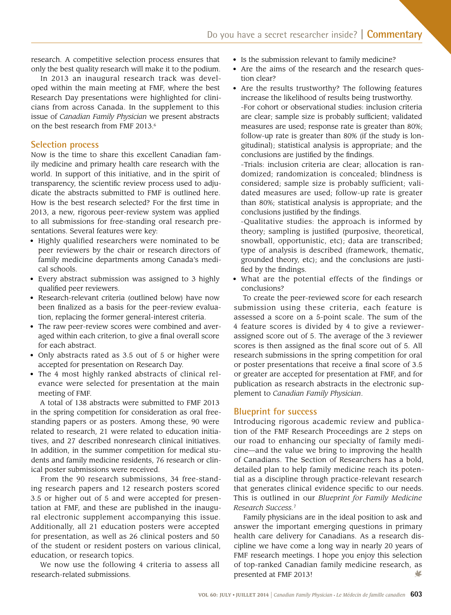research. A competitive selection process ensures that only the best quality research will make it to the podium.

In 2013 an inaugural research track was developed within the main meeting at FMF, where the best Research Day presentations were highlighted for clinicians from across Canada. In the supplement to this issue of *Canadian Family Physician* we present abstracts on the best research from FMF 2013.<sup>6</sup>

# **Selection process**

Now is the time to share this excellent Canadian family medicine and primary health care research with the world. In support of this initiative, and in the spirit of transparency, the scientifc review process used to adjudicate the abstracts submitted to FMF is outlined here. How is the best research selected? For the frst time in 2013, a new, rigorous peer-review system was applied to all submissions for free-standing oral research presentations. Several features were key:

- Highly qualified researchers were nominated to be peer reviewers by the chair or research directors of family medicine departments among Canada's medical schools.
- Every abstract submission was assigned to 3 highly qualifed peer reviewers.
- Research-relevant criteria (outlined below) have now been fnalized as a basis for the peer-review evaluation, replacing the former general-interest criteria.
- The raw peer-review scores were combined and averaged within each criterion, to give a fnal overall score for each abstract.
- Only abstracts rated as 3.5 out of 5 or higher were accepted for presentation on Research Day.
- The 4 most highly ranked abstracts of clinical relevance were selected for presentation at the main meeting of FMF.

 standing papers or as posters. Among these, 90 were tives, and 27 described nonresearch clinical initiatives. A total of 138 abstracts were submitted to FMF 2013 in the spring competition for consideration as oral freerelated to research, 21 were related to education initia-In addition, in the summer competition for medical students and family medicine residents, 76 research or clinical poster submissions were received.

 From the 90 research submissions, 34 free-standing research papers and 12 research posters scored 3.5 or higher out of 5 and were accepted for presentation at FMF, and these are published in the inaugural electronic supplement accompanying this issue. Additionally, all 21 education posters were accepted for presentation, as well as 26 clinical posters and 50 of the student or resident posters on various clinical, education, or research topics.

We now use the following 4 criteria to assess all research-related submissions.

- Is the submission relevant to family medicine?
- Are the aims of the research and the research question clear?
- Are the results trustworthy? The following features increase the likelihood of results being trustworthy.

-For cohort or observational studies: inclusion criteria are clear; sample size is probably sufficient; validated measures are used; response rate is greater than 80%; follow-up rate is greater than 80% (if the study is longitudinal); statistical analysis is appropriate; and the conclusions are justifed by the fndings.

-Trials: inclusion criteria are clear; allocation is randomized; randomization is concealed; blindness is considered; sample size is probably sufficient; validated measures are used; follow-up rate is greater than 80%; statistical analysis is appropriate; and the conclusions justifed by the fndings.

 theory; sampling is justifed (purposive, theoretical, -Qualitative studies: the approach is informed by snowball, opportunistic, etc); data are transcribed; type of analysis is described (framework, thematic, grounded theory, etc); and the conclusions are justifed by the fndings.

• What are the potential effects of the findings or conclusions?

To create the peer-reviewed score for each research submission using these criteria, each feature is assessed a score on a 5-point scale. The sum of the 4 feature scores is divided by 4 to give a reviewerassigned score out of 5. The average of the 3 reviewer scores is then assigned as the fnal score out of 5. All research submissions in the spring competition for oral or poster presentations that receive a fnal score of 3.5 or greater are accepted for presentation at FMF, and for publication as research abstracts in the electronic supplement to *Canadian Family Physician*.

# **Blueprint for success**

 This is outlined in our *Blueprint for Family Medicine*  Introducing rigorous academic review and publication of the FMF Research Proceedings are 2 steps on our road to enhancing our specialty of family medicine—and the value we bring to improving the health of Canadians. The Section of Researchers has a bold, detailed plan to help family medicine reach its potential as a discipline through practice-relevant research that generates clinical evidence specifc to our needs. *Research Success.*<sup>7</sup>

Family physicians are in the ideal position to ask and answer the important emerging questions in primary health care delivery for Canadians. As a research discipline we have come a long way in nearly 20 years of FMF research meetings. I hope you enjoy this selection of top-ranked Canadian family medicine research, as presented at FMF 2013! ₩